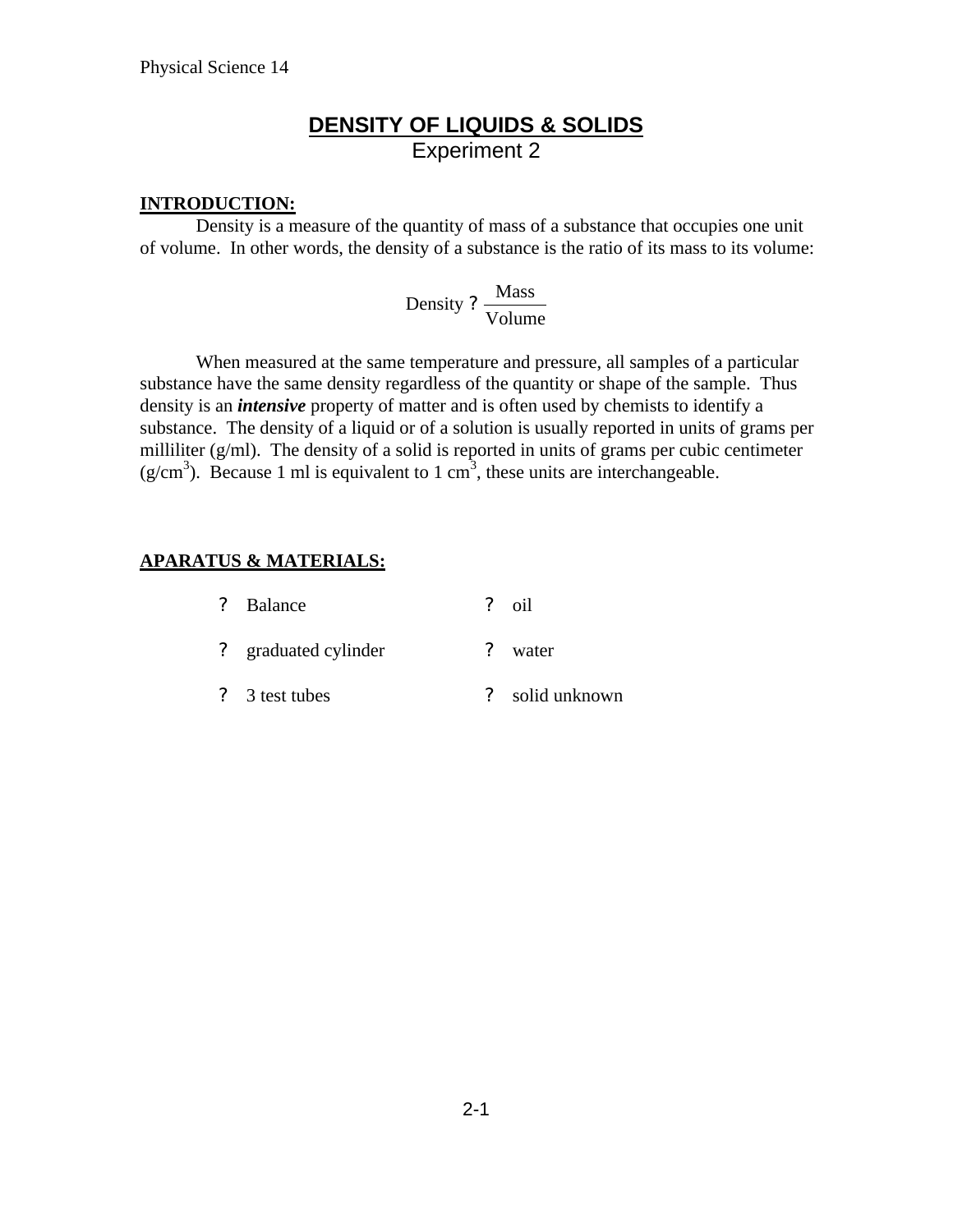## **DENSITY OF LIQUIDS & SOLIDS** Experiment 2

#### **INTRODUCTION:**

Density is a measure of the quantity of mass of a substance that occupies one unit of volume. In other words, the density of a substance is the ratio of its mass to its volume:

> Volume Density ?  $\frac{\text{Mass}}{\text{Mass}}$

When measured at the same temperature and pressure, all samples of a particular substance have the same density regardless of the quantity or shape of the sample. Thus density is an *intensive* property of matter and is often used by chemists to identify a substance. The density of a liquid or of a solution is usually reported in units of grams per milliliter (g/ml). The density of a solid is reported in units of grams per cubic centimeter  $(g/cm<sup>3</sup>)$ . Because 1 ml is equivalent to 1 cm<sup>3</sup>, these units are interchangeable.

### **APARATUS & MATERIALS:**

| ? Balance            |          | $\frac{9}{2}$ oil |
|----------------------|----------|-------------------|
| ? graduated cylinder | $\gamma$ | water             |
| ? 3 test tubes       |          | solid unknown     |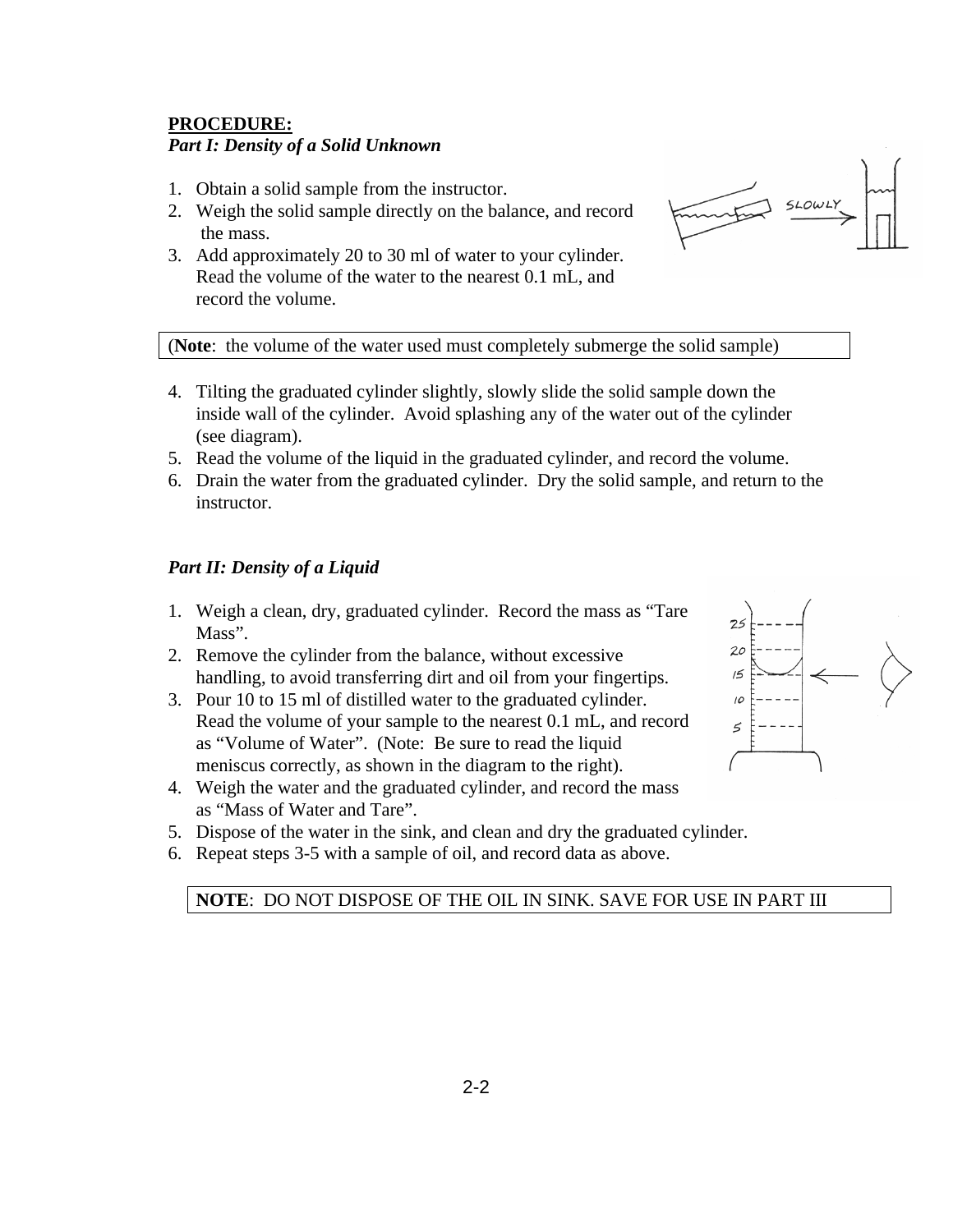#### **PROCEDURE:**

#### *Part I: Density of a Solid Unknown*

- 1. Obtain a solid sample from the instructor.
- 2. Weigh the solid sample directly on the balance, and record the mass.
- 3. Add approximately 20 to 30 ml of water to your cylinder. Read the volume of the water to the nearest 0.1 mL, and record the volume.



(**Note**: the volume of the water used must completely submerge the solid sample)

- 4. Tilting the graduated cylinder slightly, slowly slide the solid sample down the inside wall of the cylinder. Avoid splashing any of the water out of the cylinder (see diagram).
- 5. Read the volume of the liquid in the graduated cylinder, and record the volume.
- 6. Drain the water from the graduated cylinder. Dry the solid sample, and return to the instructor.

#### *Part II: Density of a Liquid*

- 1. Weigh a clean, dry, graduated cylinder. Record the mass as "Tare Mass".
- 2. Remove the cylinder from the balance, without excessive handling, to avoid transferring dirt and oil from your fingertips.
- 3. Pour 10 to 15 ml of distilled water to the graduated cylinder. Read the volume of your sample to the nearest 0.1 mL, and record as "Volume of Water". (Note: Be sure to read the liquid meniscus correctly, as shown in the diagram to the right).
- 4. Weigh the water and the graduated cylinder, and record the mass as "Mass of Water and Tare".



- 5. Dispose of the water in the sink, and clean and dry the graduated cylinder.
- 6. Repeat steps 3-5 with a sample of oil, and record data as above.

#### **NOTE**: DO NOT DISPOSE OF THE OIL IN SINK. SAVE FOR USE IN PART III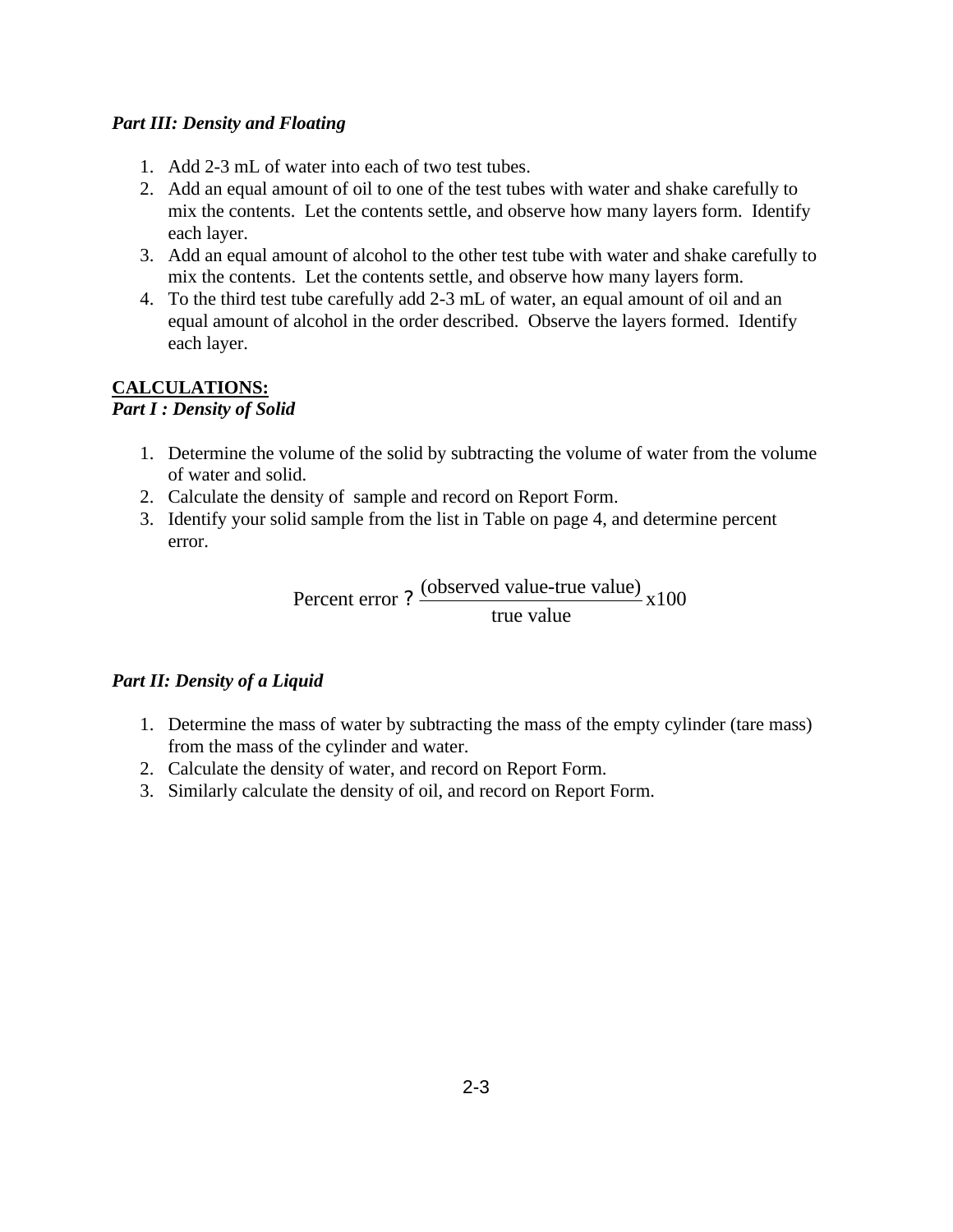#### *Part III: Density and Floating*

- 1. Add 2-3 mL of water into each of two test tubes.
- 2. Add an equal amount of oil to one of the test tubes with water and shake carefully to mix the contents. Let the contents settle, and observe how many layers form. Identify each layer.
- 3. Add an equal amount of alcohol to the other test tube with water and shake carefully to mix the contents. Let the contents settle, and observe how many layers form.
- 4. To the third test tube carefully add 2-3 mL of water, an equal amount of oil and an equal amount of alcohol in the order described. Observe the layers formed. Identify each layer.

### **CALCULATIONS:**

#### *Part I : Density of Solid*

- 1. Determine the volume of the solid by subtracting the volume of water from the volume of water and solid.
- 2. Calculate the density of sample and record on Report Form.
- 3. Identify your solid sample from the list in Table on page 4, and determine percent error.

Percent error ?  $\frac{\text{(observed value-true value)}}{\text{x}}$  x100 true value ?

### *Part II: Density of a Liquid*

- 1. Determine the mass of water by subtracting the mass of the empty cylinder (tare mass) from the mass of the cylinder and water.
- 2. Calculate the density of water, and record on Report Form.
- 3. Similarly calculate the density of oil, and record on Report Form.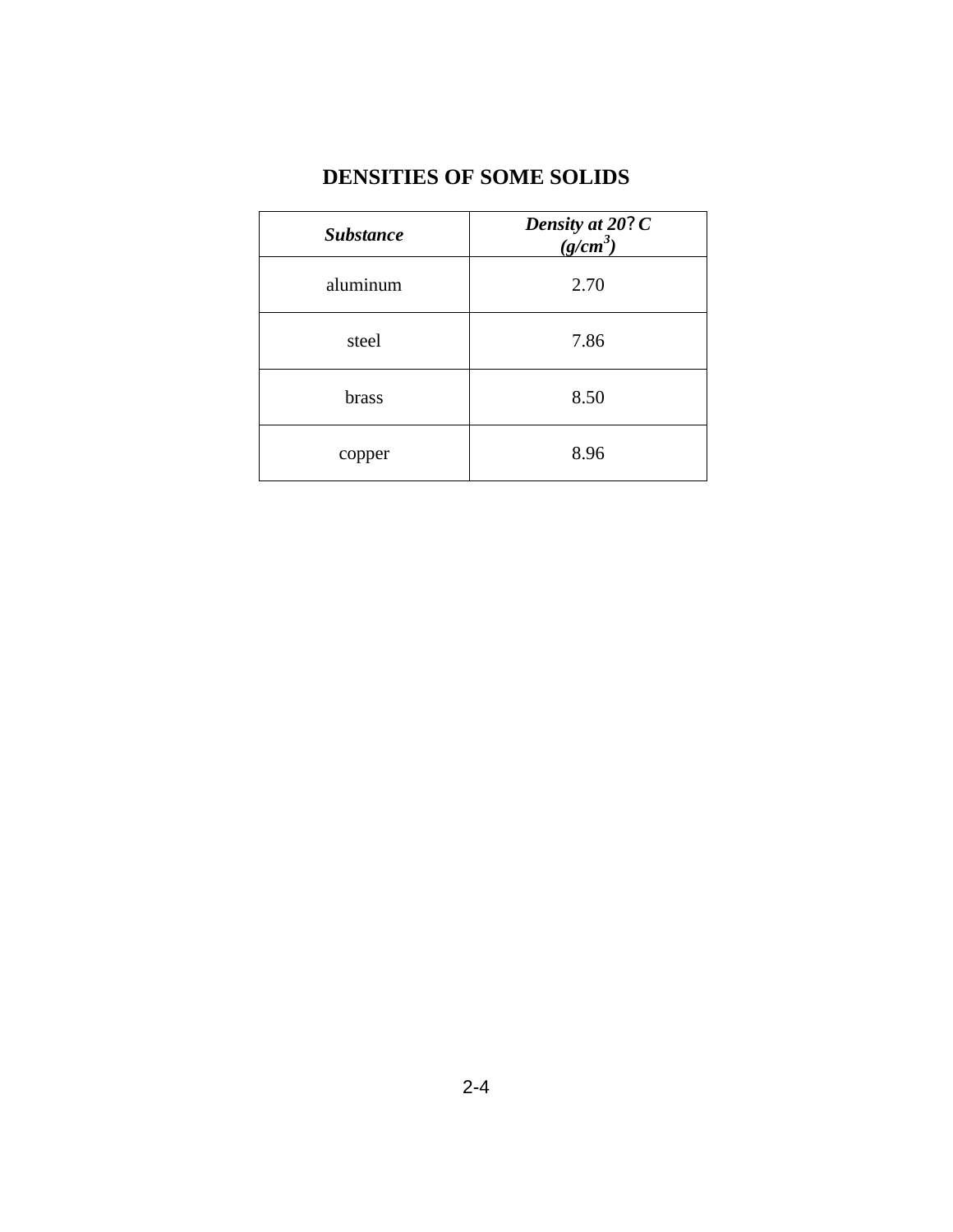## **DENSITIES OF SOME SOLIDS**

| <b>Substance</b> | Density at 20?C<br>(g/cm <sup>3</sup> ) |
|------------------|-----------------------------------------|
| aluminum         | 2.70                                    |
| steel            | 7.86                                    |
| brass            | 8.50                                    |
| copper           | 8.96                                    |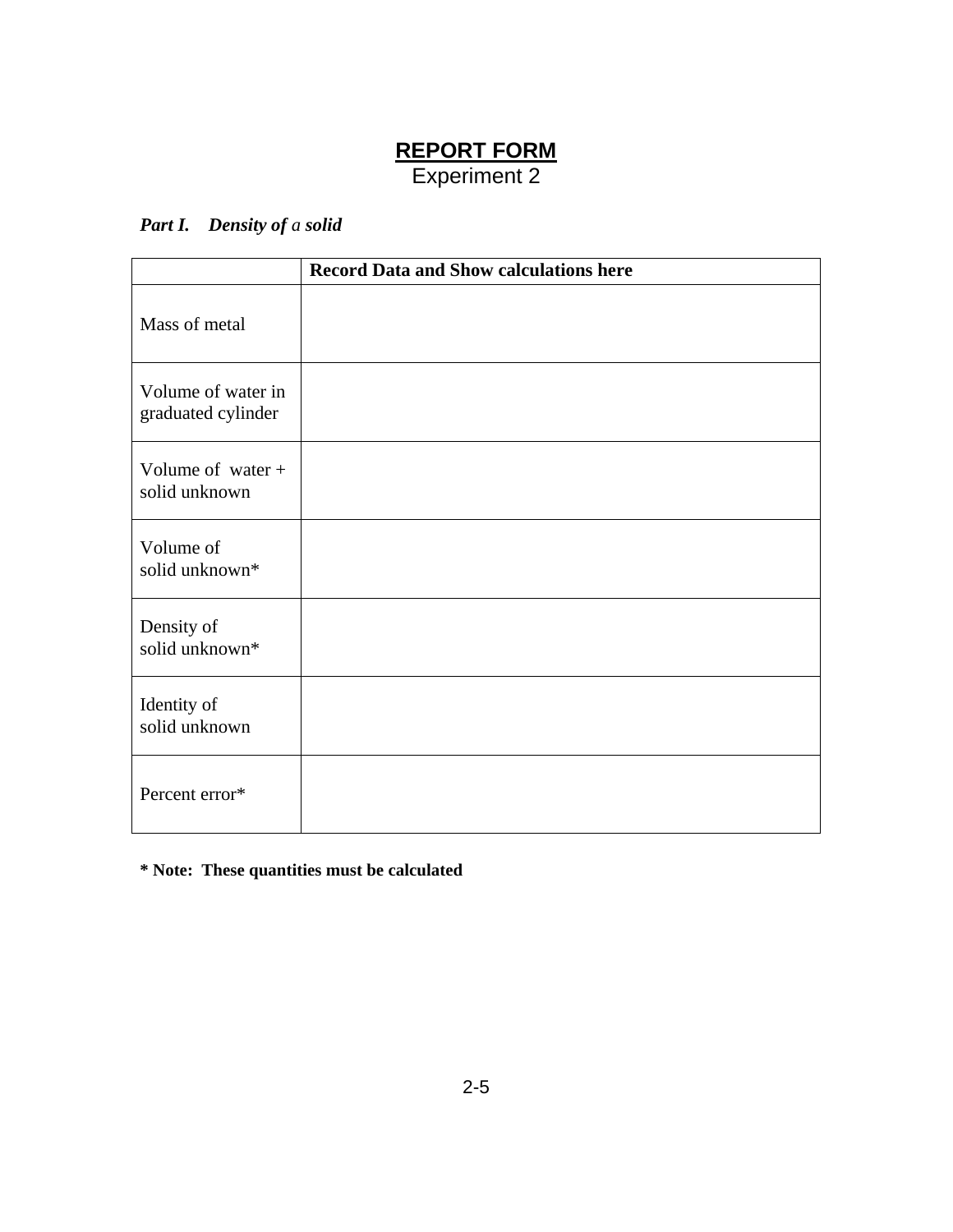### **REPORT FORM** Experiment 2

### *Part I. Density of a solid*

|                                          | <b>Record Data and Show calculations here</b> |
|------------------------------------------|-----------------------------------------------|
| Mass of metal                            |                                               |
| Volume of water in<br>graduated cylinder |                                               |
| Volume of water $+$<br>solid unknown     |                                               |
| Volume of<br>solid unknown*              |                                               |
| Density of<br>solid unknown*             |                                               |
| Identity of<br>solid unknown             |                                               |
| Percent error*                           |                                               |

**\* Note: These quantities must be calculated**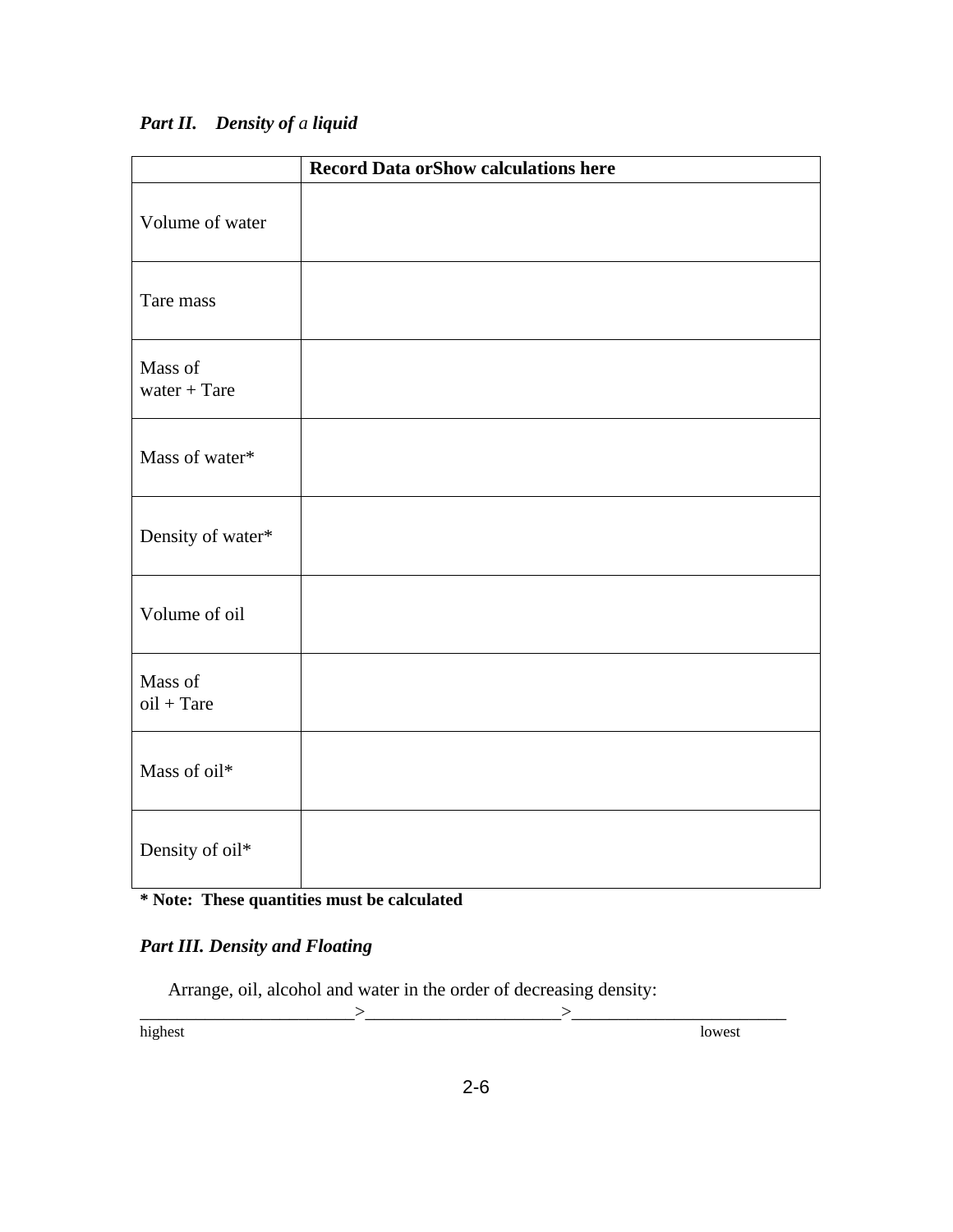### *Part II. Density of a liquid*

|                           | <b>Record Data or Show calculations here</b> |
|---------------------------|----------------------------------------------|
| Volume of water           |                                              |
| Tare mass                 |                                              |
| Mass of<br>water $+$ Tare |                                              |
| Mass of water*            |                                              |
| Density of water*         |                                              |
| Volume of oil             |                                              |
| Mass of<br>$oil + Tare$   |                                              |
| Mass of oil*              |                                              |
| Density of oil*           |                                              |

# **\* Note: These quantities must be calculated**

### *Part III. Density and Floating*

Arrange, oil, alcohol and water in the order of decreasing density:

 $\frac{1}{\text{highest}}$ highest lowest